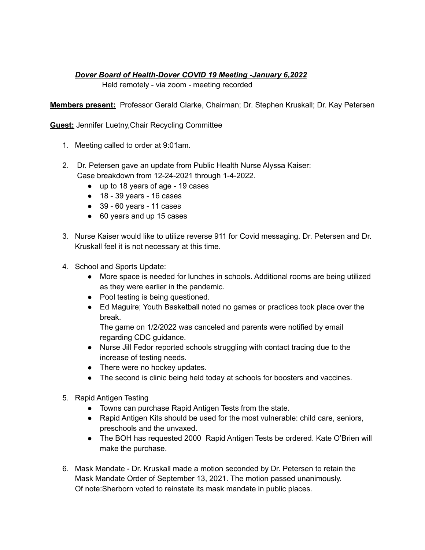## *Dover Board of Health-Dover COVID 19 Meeting -January 6,2022*

Held remotely - via zoom - meeting recorded

**Members present:** Professor Gerald Clarke, Chairman; Dr. Stephen Kruskall; Dr. Kay Petersen

**Guest:** Jennifer Luetny,Chair Recycling Committee

- 1. Meeting called to order at 9:01am.
- 2. Dr. Petersen gave an update from Public Health Nurse Alyssa Kaiser: Case breakdown from 12-24-2021 through 1-4-2022.
	- up to 18 years of age 19 cases
	- 18 39 years 16 cases
	- $\bullet$  39 60 years 11 cases
	- 60 years and up 15 cases
- 3. Nurse Kaiser would like to utilize reverse 911 for Covid messaging. Dr. Petersen and Dr. Kruskall feel it is not necessary at this time.
- 4. School and Sports Update:
	- More space is needed for lunches in schools. Additional rooms are being utilized as they were earlier in the pandemic.
	- Pool testing is being questioned.
	- Ed Maguire; Youth Basketball noted no games or practices took place over the break.

The game on 1/2/2022 was canceled and parents were notified by email regarding CDC guidance.

- Nurse Jill Fedor reported schools struggling with contact tracing due to the increase of testing needs.
- There were no hockey updates.
- The second is clinic being held today at schools for boosters and vaccines.
- 5. Rapid Antigen Testing
	- Towns can purchase Rapid Antigen Tests from the state.
	- Rapid Antigen Kits should be used for the most vulnerable: child care, seniors, preschools and the unvaxed.
	- The BOH has requested 2000 Rapid Antigen Tests be ordered. Kate O'Brien will make the purchase.
- 6. Mask Mandate Dr. Kruskall made a motion seconded by Dr. Petersen to retain the Mask Mandate Order of September 13, 2021. The motion passed unanimously. Of note:Sherborn voted to reinstate its mask mandate in public places.